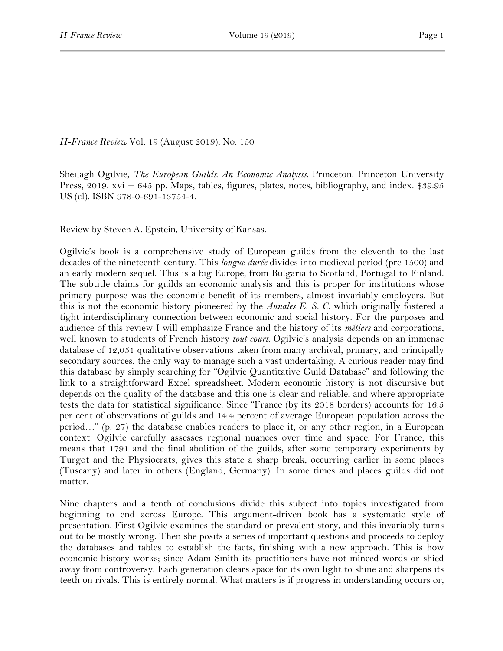*H-France Review* Vol. 19 (August 2019), No. 150

Sheilagh Ogilvie, *The European Guilds: An Economic Analysis*. Princeton: Princeton University Press, 2019. xvi + 645 pp. Maps, tables, figures, plates, notes, bibliography, and index. \$39.95 US (cl). ISBN 978-0-691-13754-4.

Review by Steven A. Epstein, University of Kansas.

Ogilvie's book is a comprehensive study of European guilds from the eleventh to the last decades of the nineteenth century. This *longue durée* divides into medieval period (pre 1500) and an early modern sequel. This is a big Europe, from Bulgaria to Scotland, Portugal to Finland. The subtitle claims for guilds an economic analysis and this is proper for institutions whose primary purpose was the economic benefit of its members, almost invariably employers. But this is not the economic history pioneered by the *Annales E. S. C.* which originally fostered a tight interdisciplinary connection between economic and social history. For the purposes and audience of this review I will emphasize France and the history of its *métiers* and corporations, well known to students of French history *tout court*. Ogilvie's analysis depends on an immense database of 12,051 qualitative observations taken from many archival, primary, and principally secondary sources, the only way to manage such a vast undertaking. A curious reader may find this database by simply searching for "Ogilvie Quantitative Guild Database" and following the link to a straightforward Excel spreadsheet. Modern economic history is not discursive but depends on the quality of the database and this one is clear and reliable, and where appropriate tests the data for statistical significance. Since "France (by its 2018 borders) accounts for 16.5 per cent of observations of guilds and 14.4 percent of average European population across the period…" (p. 27) the database enables readers to place it, or any other region, in a European context. Ogilvie carefully assesses regional nuances over time and space. For France, this means that 1791 and the final abolition of the guilds, after some temporary experiments by Turgot and the Physiocrats, gives this state a sharp break, occurring earlier in some places (Tuscany) and later in others (England, Germany). In some times and places guilds did not matter.

Nine chapters and a tenth of conclusions divide this subject into topics investigated from beginning to end across Europe. This argument-driven book has a systematic style of presentation. First Ogilvie examines the standard or prevalent story, and this invariably turns out to be mostly wrong. Then she posits a series of important questions and proceeds to deploy the databases and tables to establish the facts, finishing with a new approach. This is how economic history works; since Adam Smith its practitioners have not minced words or shied away from controversy. Each generation clears space for its own light to shine and sharpens its teeth on rivals. This is entirely normal. What matters is if progress in understanding occurs or,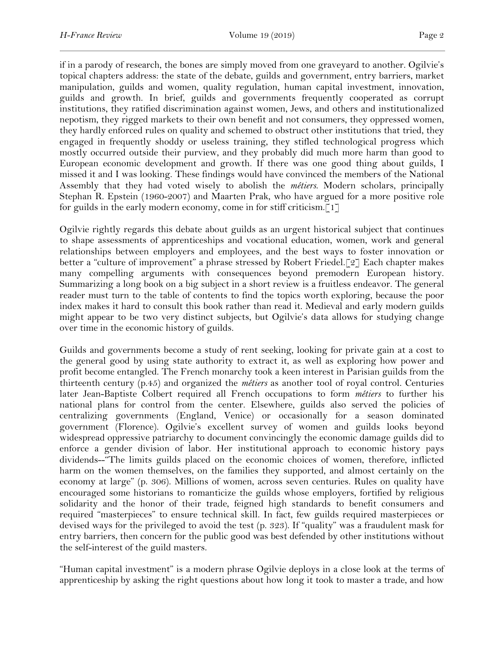if in a parody of research, the bones are simply moved from one graveyard to another. Ogilvie's topical chapters address: the state of the debate, guilds and government, entry barriers, market manipulation, guilds and women, quality regulation, human capital investment, innovation, guilds and growth. In brief, guilds and governments frequently cooperated as corrupt institutions, they ratified discrimination against women, Jews, and others and institutionalized nepotism, they rigged markets to their own benefit and not consumers, they oppressed women, they hardly enforced rules on quality and schemed to obstruct other institutions that tried, they engaged in frequently shoddy or useless training, they stifled technological progress which mostly occurred outside their purview, and they probably did much more harm than good to European economic development and growth. If there was one good thing about guilds, I missed it and I was looking. These findings would have convinced the members of the National Assembly that they had voted wisely to abolish the *métiers*. Modern scholars, principally Stephan R. Epstein (1960-2007) and Maarten Prak, who have argued for a more positive role for guilds in the early modern economy, come in for stiff criticism.[1]

Ogilvie rightly regards this debate about guilds as an urgent historical subject that continues to shape assessments of apprenticeships and vocational education, women, work and general relationships between employers and employees, and the best ways to foster innovation or better a "culture of improvement" a phrase stressed by Robert Friedel.[2] Each chapter makes many compelling arguments with consequences beyond premodern European history. Summarizing a long book on a big subject in a short review is a fruitless endeavor. The general reader must turn to the table of contents to find the topics worth exploring, because the poor index makes it hard to consult this book rather than read it. Medieval and early modern guilds might appear to be two very distinct subjects, but Ogilvie's data allows for studying change over time in the economic history of guilds.

Guilds and governments become a study of rent seeking, looking for private gain at a cost to the general good by using state authority to extract it, as well as exploring how power and profit become entangled. The French monarchy took a keen interest in Parisian guilds from the thirteenth century (p.45) and organized the *métiers* as another tool of royal control. Centuries later Jean-Baptiste Colbert required all French occupations to form *métiers* to further his national plans for control from the center. Elsewhere, guilds also served the policies of centralizing governments (England, Venice) or occasionally for a season dominated government (Florence). Ogilvie's excellent survey of women and guilds looks beyond widespread oppressive patriarchy to document convincingly the economic damage guilds did to enforce a gender division of labor. Her institutional approach to economic history pays dividends--"The limits guilds placed on the economic choices of women, therefore, inflicted harm on the women themselves, on the families they supported, and almost certainly on the economy at large" (p. 306). Millions of women, across seven centuries. Rules on quality have encouraged some historians to romanticize the guilds whose employers, fortified by religious solidarity and the honor of their trade, feigned high standards to benefit consumers and required "masterpieces" to ensure technical skill. In fact, few guilds required masterpieces or devised ways for the privileged to avoid the test (p. 323). If "quality" was a fraudulent mask for entry barriers, then concern for the public good was best defended by other institutions without the self-interest of the guild masters.

"Human capital investment" is a modern phrase Ogilvie deploys in a close look at the terms of apprenticeship by asking the right questions about how long it took to master a trade, and how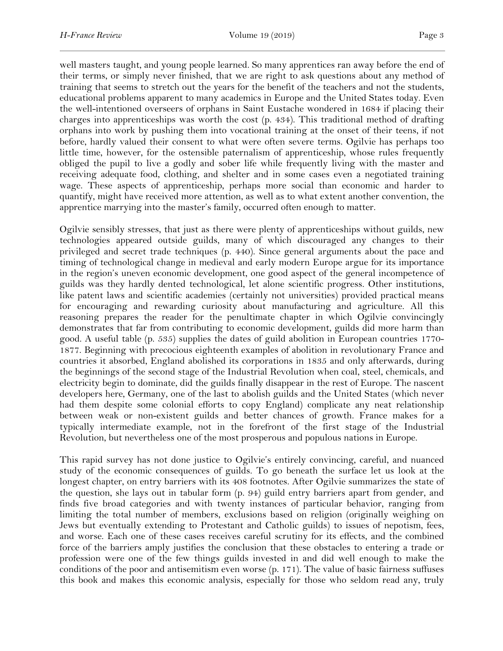well masters taught, and young people learned. So many apprentices ran away before the end of their terms, or simply never finished, that we are right to ask questions about any method of training that seems to stretch out the years for the benefit of the teachers and not the students, educational problems apparent to many academics in Europe and the United States today. Even the well-intentioned overseers of orphans in Saint Eustache wondered in 1684 if placing their charges into apprenticeships was worth the cost (p. 434). This traditional method of drafting orphans into work by pushing them into vocational training at the onset of their teens, if not before, hardly valued their consent to what were often severe terms. Ogilvie has perhaps too little time, however, for the ostensible paternalism of apprenticeship, whose rules frequently obliged the pupil to live a godly and sober life while frequently living with the master and receiving adequate food, clothing, and shelter and in some cases even a negotiated training wage. These aspects of apprenticeship, perhaps more social than economic and harder to quantify, might have received more attention, as well as to what extent another convention, the apprentice marrying into the master's family, occurred often enough to matter.

Ogilvie sensibly stresses, that just as there were plenty of apprenticeships without guilds, new technologies appeared outside guilds, many of which discouraged any changes to their privileged and secret trade techniques (p. 440). Since general arguments about the pace and timing of technological change in medieval and early modern Europe argue for its importance in the region's uneven economic development, one good aspect of the general incompetence of guilds was they hardly dented technological, let alone scientific progress. Other institutions, like patent laws and scientific academies (certainly not universities) provided practical means for encouraging and rewarding curiosity about manufacturing and agriculture. All this reasoning prepares the reader for the penultimate chapter in which Ogilvie convincingly demonstrates that far from contributing to economic development, guilds did more harm than good. A useful table (p. 535) supplies the dates of guild abolition in European countries 1770- 1877. Beginning with precocious eighteenth examples of abolition in revolutionary France and countries it absorbed, England abolished its corporations in 1835 and only afterwards, during the beginnings of the second stage of the Industrial Revolution when coal, steel, chemicals, and electricity begin to dominate, did the guilds finally disappear in the rest of Europe. The nascent developers here, Germany, one of the last to abolish guilds and the United States (which never had them despite some colonial efforts to copy England) complicate any neat relationship between weak or non-existent guilds and better chances of growth. France makes for a typically intermediate example, not in the forefront of the first stage of the Industrial Revolution, but nevertheless one of the most prosperous and populous nations in Europe.

This rapid survey has not done justice to Ogilvie's entirely convincing, careful, and nuanced study of the economic consequences of guilds. To go beneath the surface let us look at the longest chapter, on entry barriers with its 408 footnotes. After Ogilvie summarizes the state of the question, she lays out in tabular form (p. 94) guild entry barriers apart from gender, and finds five broad categories and with twenty instances of particular behavior, ranging from limiting the total number of members, exclusions based on religion (originally weighing on Jews but eventually extending to Protestant and Catholic guilds) to issues of nepotism, fees, and worse. Each one of these cases receives careful scrutiny for its effects, and the combined force of the barriers amply justifies the conclusion that these obstacles to entering a trade or profession were one of the few things guilds invested in and did well enough to make the conditions of the poor and antisemitism even worse (p. 171). The value of basic fairness suffuses this book and makes this economic analysis, especially for those who seldom read any, truly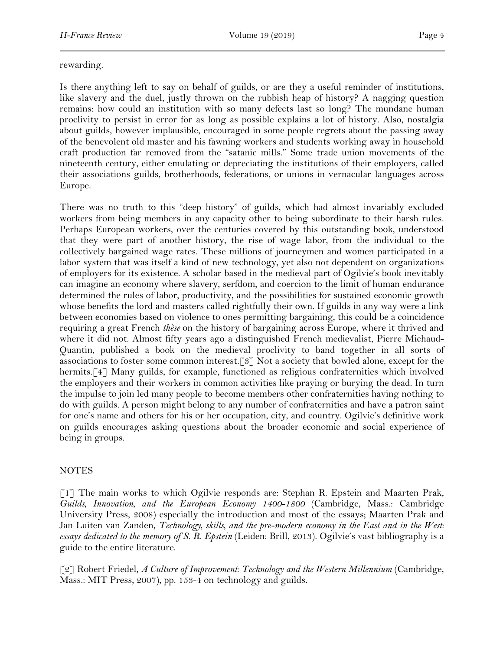## rewarding.

Is there anything left to say on behalf of guilds, or are they a useful reminder of institutions, like slavery and the duel, justly thrown on the rubbish heap of history? A nagging question remains: how could an institution with so many defects last so long? The mundane human proclivity to persist in error for as long as possible explains a lot of history. Also, nostalgia about guilds, however implausible, encouraged in some people regrets about the passing away of the benevolent old master and his fawning workers and students working away in household craft production far removed from the "satanic mills." Some trade union movements of the nineteenth century, either emulating or depreciating the institutions of their employers, called their associations guilds, brotherhoods, federations, or unions in vernacular languages across Europe.

There was no truth to this "deep history" of guilds, which had almost invariably excluded workers from being members in any capacity other to being subordinate to their harsh rules. Perhaps European workers, over the centuries covered by this outstanding book, understood that they were part of another history, the rise of wage labor, from the individual to the collectively bargained wage rates. These millions of journeymen and women participated in a labor system that was itself a kind of new technology, yet also not dependent on organizations of employers for its existence. A scholar based in the medieval part of Ogilvie's book inevitably can imagine an economy where slavery, serfdom, and coercion to the limit of human endurance determined the rules of labor, productivity, and the possibilities for sustained economic growth whose benefits the lord and masters called rightfully their own. If guilds in any way were a link between economies based on violence to ones permitting bargaining, this could be a coincidence requiring a great French *thèse* on the history of bargaining across Europe, where it thrived and where it did not. Almost fifty years ago a distinguished French medievalist, Pierre Michaud-Quantin, published a book on the medieval proclivity to band together in all sorts of associations to foster some common interest.[3] Not a society that bowled alone, except for the hermits.<sup>[4]</sup> Many guilds, for example, functioned as religious confraternities which involved the employers and their workers in common activities like praying or burying the dead. In turn the impulse to join led many people to become members other confraternities having nothing to do with guilds. A person might belong to any number of confraternities and have a patron saint for one's name and others for his or her occupation, city, and country. Ogilvie's definitive work on guilds encourages asking questions about the broader economic and social experience of being in groups.

## NOTES

[1] The main works to which Ogilvie responds are: Stephan R. Epstein and Maarten Prak, *Guilds, Innovation, and the European Economy 1400-1800* (Cambridge, Mass.: Cambridge University Press, 2008) especially the introduction and most of the essays; Maarten Prak and Jan Luiten van Zanden, *Technology, skills, and the pre-modern economy in the East and in the West: essays dedicated to the memory of S. R. Epstein* (Leiden: Brill, 2013). Ogilvie's vast bibliography is a guide to the entire literature.

[2] Robert Friedel, *A Culture of Improvement: Technology and the Western Millennium* (Cambridge, Mass.: MIT Press, 2007), pp. 153-4 on technology and guilds.